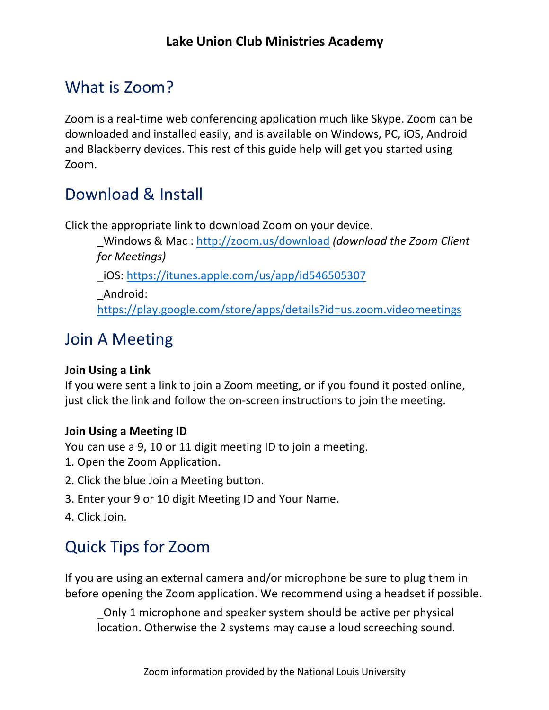## What is Zoom?

Zoom is a real-time web conferencing application much like Skype. Zoom can be downloaded and installed easily, and is available on Windows, PC, iOS, Android and Blackberry devices. This rest of this guide help will get you started using Zoom.

## Download & Install

Click the appropriate link to download Zoom on your device.

\_Windows & Mac : http://zoom.us/download *(download the Zoom Client for Meetings)* 

\_iOS: https://itunes.apple.com/us/app/id546505307

\_Android: https://play.google.com/store/apps/details?id=us.zoom.videomeetings

## Join A Meeting

#### **Join Using a Link**

If you were sent a link to join a Zoom meeting, or if you found it posted online, just click the link and follow the on-screen instructions to join the meeting.

#### **Join Using a Meeting ID**

You can use a 9, 10 or 11 digit meeting ID to join a meeting.

- 1. Open the Zoom Application.
- 2. Click the blue Join a Meeting button.
- 3. Enter your 9 or 10 digit Meeting ID and Your Name.
- 4. Click Join.

# Quick Tips for Zoom

If you are using an external camera and/or microphone be sure to plug them in before opening the Zoom application. We recommend using a headset if possible.

\_Only 1 microphone and speaker system should be active per physical location. Otherwise the 2 systems may cause a loud screeching sound.